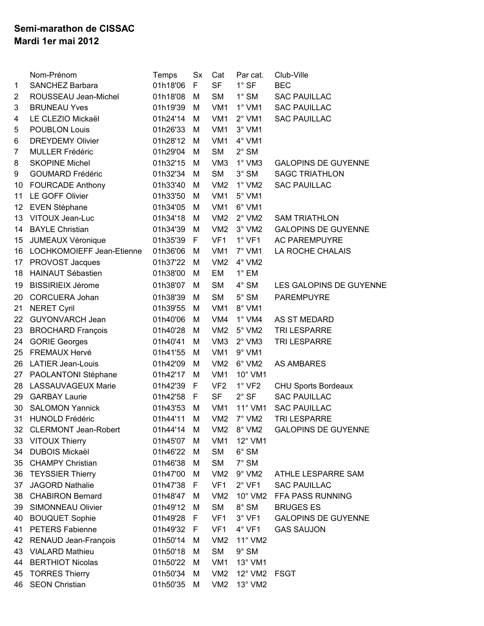## **Semi-marathon de CISSAC Mardi 1er mai 2012**

|                | Nom-Prénom                  | Temps    | Sx | Cat             | Par cat.         | Club-Ville                 |
|----------------|-----------------------------|----------|----|-----------------|------------------|----------------------------|
| 1              | <b>SANCHEZ Barbara</b>      | 01h18'06 | F. | <b>SF</b>       | $1^\circ$ SF     | <b>BEC</b>                 |
| 2              | ROUSSEAU Jean-Michel        | 01h18'08 | М  | <b>SM</b>       | $1^\circ$ SM     | <b>SAC PAUILLAC</b>        |
| 3              | <b>BRUNEAU Yves</b>         | 01h19'39 | M  | VM <sub>1</sub> | $1^\circ$ VM1    | <b>SAC PAUILLAC</b>        |
| 4              | LE CLEZIO Mickaël           | 01h24'14 | M  | VM <sub>1</sub> | $2^{\circ}$ VM1  | <b>SAC PAUILLAC</b>        |
| 5              | <b>POUBLON Louis</b>        | 01h26'33 | М  | VM <sub>1</sub> | $3^\circ$ VM1    |                            |
| 6              | <b>DREYDEMY Olivier</b>     | 01h28'12 | M  | VM <sub>1</sub> | 4° VM1           |                            |
| $\overline{7}$ | <b>MULLER Frédéric</b>      | 01h29'04 | M  | <b>SM</b>       | $2^\circ$ SM     |                            |
| 8              | <b>SKOPINE Michel</b>       | 01h32'15 | M  | VM <sub>3</sub> | $1^\circ$ VM3    | <b>GALOPINS DE GUYENNE</b> |
| 9              | <b>GOUMARD Frédéric</b>     | 01h32'34 | M  | <b>SM</b>       | $3^\circ$ SM     | <b>SAGC TRIATHLON</b>      |
| 10             | <b>FOURCADE Anthony</b>     | 01h33'40 | M  | VM <sub>2</sub> | $1^\circ$ VM2    | <b>SAC PAUILLAC</b>        |
| 11             | LE GOFF Olivier             | 01h33'50 | М  | VM <sub>1</sub> | $5^\circ$ VM1    |                            |
| 12             | EVEN Stéphane               | 01h34'05 | M  | VM <sub>1</sub> | 6° VM1           |                            |
| 13             | VITOUX Jean-Luc             | 01h34'18 | M  | VM2             | $2^{\circ}$ VM2  | <b>SAM TRIATHLON</b>       |
| 14             | <b>BAYLE Christian</b>      | 01h34'39 | M  | VM <sub>2</sub> | $3^\circ$ VM2    | <b>GALOPINS DE GUYENNE</b> |
| 15             | <b>JUMEAUX Véronique</b>    | 01h35'39 | F  | VF <sub>1</sub> | $1^\circ$ VF1    | <b>AC PAREMPUYRE</b>       |
| 16             | LOCHKOMOIEFF Jean-Etienne   | 01h36'06 | M  | VM <sub>1</sub> | $7^\circ$ VM1    | LA ROCHE CHALAIS           |
| 17             | PROVOST Jacques             | 01h37'22 | M  | VM <sub>2</sub> | $4^\circ$ VM2    |                            |
| 18             | <b>HAINAUT Sébastien</b>    | 01h38'00 | M  | EM              | $1^\circ$ EM     |                            |
| 19             | <b>BISSIRIEIX Jérome</b>    | 01h38'07 | M  | <b>SM</b>       | $4^\circ$ SM     | LES GALOPINS DE GUYENNE    |
| 20             | <b>CORCUERA Johan</b>       | 01h38'39 | M  | <b>SM</b>       | $5^\circ$ SM     | <b>PAREMPUYRE</b>          |
| 21             | <b>NERET Cyril</b>          | 01h39'55 | M  | VM <sub>1</sub> | 8° VM1           |                            |
| 22             | <b>GUYONVARCH Jean</b>      | 01h40'06 | М  | VM4             | $1^\circ$ VM4    | AS ST MEDARD               |
| 23             | <b>BROCHARD François</b>    | 01h40'28 | M  | VM2             | $5^\circ$ VM2    | TRI LESPARRE               |
| 24             | <b>GORIE Georges</b>        | 01h40'41 | M  | VM <sub>3</sub> | $2^\circ$ VM3    | <b>TRI LESPARRE</b>        |
| 25             | <b>FREMAUX Hervé</b>        | 01h41'55 | M  | VM <sub>1</sub> | $9°$ VM1         |                            |
| 26             | <b>LATIER Jean-Louis</b>    | 01h42'09 | M  | VM <sub>2</sub> | 6° VM2           | <b>AS AMBARES</b>          |
| 27             | PAOLANTONI Stéphane         | 01h42'17 | M  | VM <sub>1</sub> | 10° VM1          |                            |
| 28             | <b>LASSAUVAGEUX Marie</b>   | 01h42'39 | F  | VF <sub>2</sub> | $1^\circ$ VF2    | <b>CHU Sports Bordeaux</b> |
| 29             | <b>GARBAY Laurie</b>        | 01h42'58 | F  | <b>SF</b>       | $2°$ SF          | <b>SAC PAUILLAC</b>        |
| 30             | <b>SALOMON Yannick</b>      | 01h43'53 | M  | VM <sub>1</sub> | $11^{\circ}$ VM1 | <b>SAC PAUILLAC</b>        |
| 31             | <b>HUNOLD Frédéric</b>      | 01h44'11 | M  | VM <sub>2</sub> | 7° VM2           | <b>TRI LESPARRE</b>        |
| 32             | <b>CLERMONT Jean-Robert</b> | 01h44'14 | M  | VM <sub>2</sub> | 8° VM2           | <b>GALOPINS DE GUYENNE</b> |
| 33             | <b>VITOUX Thierry</b>       | 01h45'07 | M  | VM <sub>1</sub> | 12° VM1          |                            |
| 34             | <b>DUBOIS Mickaël</b>       | 01h46'22 | M  | <b>SM</b>       | $6^\circ$ SM     |                            |
| 35             | <b>CHAMPY Christian</b>     | 01h46'38 | M  | <b>SM</b>       | $7^\circ$ SM     |                            |
| 36             | <b>TEYSSIER Thierry</b>     | 01h47'00 | M  | VM2             | $9^\circ$ VM2    | ATHLE LESPARRE SAM         |
| 37             | <b>JAGORD Nathalie</b>      | 01h47'38 | F. | VF <sub>1</sub> | $2^{\circ}$ VF1  | <b>SAC PAUILLAC</b>        |
| 38             | <b>CHABIRON Bernard</b>     | 01h48'47 | M  | VM2             | 10° VM2          | FFA PASS RUNNING           |
| 39             | <b>SIMONNEAU Olivier</b>    | 01h49'12 | M  | <b>SM</b>       | $8^\circ$ SM     | <b>BRUGES ES</b>           |
| 40             | <b>BOUQUET Sophie</b>       | 01h49'28 | F  | VF <sub>1</sub> | $3^\circ$ VF1    | <b>GALOPINS DE GUYENNE</b> |
| 41             | <b>PETERS Fabienne</b>      | 01h49'32 | F  | VF <sub>1</sub> | $4^\circ$ VF1    | <b>GAS SAUJON</b>          |
| 42             | RENAUD Jean-François        | 01h50'14 | M  | VM <sub>2</sub> | 11° VM2          |                            |
| 43             | <b>VIALARD Mathieu</b>      | 01h50'18 | M  | <b>SM</b>       | $9^\circ$ SM     |                            |
| 44             | <b>BERTHIOT Nicolas</b>     | 01h50'22 | М  | VM <sub>1</sub> | $13^\circ$ VM1   |                            |
| 45             | <b>TORRES Thierry</b>       | 01h50'34 | M  | VM <sub>2</sub> | $12^{\circ}$ VM2 | FSGT                       |
| 46             | <b>SEON Christian</b>       | 01h50'35 | M  | VM2             | 13° VM2          |                            |